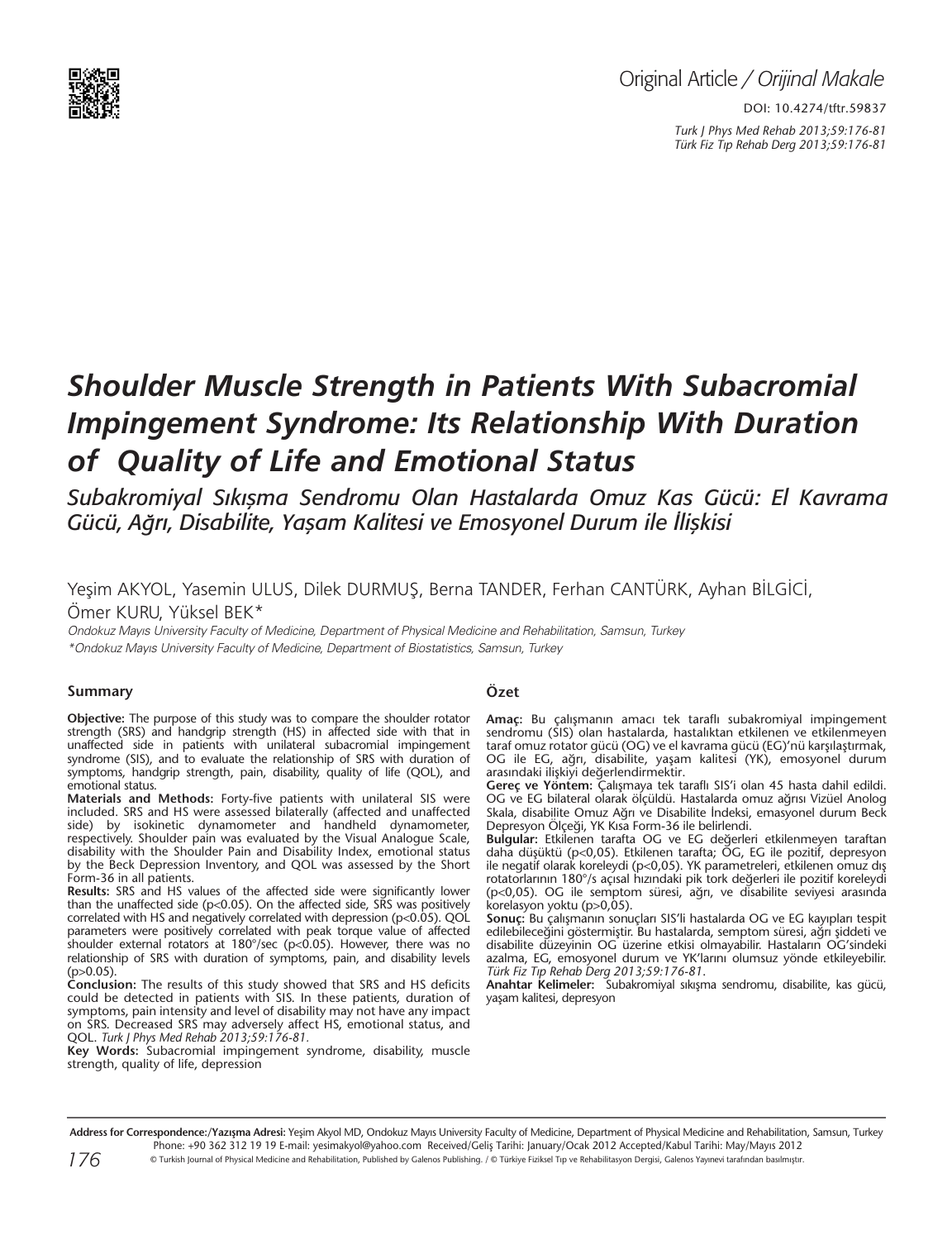

DOI: 10.4274/tftr.59837 *Turk J Phys Med Rehab 2013;59:176-81 Türk Fiz T›p Rehab Derg 2013;59:176-81*

# *Shoulder Muscle Strength in Patients With Subacromial Impingement Syndrome: Its Relationship With Duration of Quality of Life and Emotional Status*

*Subakromiyal Sıkışma Sendromu Olan Hastalarda Omuz Kas Gücü: El Kavrama Gücü, Ağrı, Disabilite, Yaşam Kalitesi ve Emosyonel Durum ile İlişkisi*

# Yeşim AKYOL, Yasemin ULUS, Dilek DURMUŞ, Berna TANDER, Ferhan CANTÜRK, Ayhan BİLGİCİ, Ömer KURU, Yüksel BEK\*

Ondokuz Mayıs University Faculty of Medicine, Department of Physical Medicine and Rehabilitation, Samsun, Turkey \*Ondokuz Mayıs University Faculty of Medicine, Department of Biostatistics, Samsun, Turkey

#### **Summary**

**Objective:** The purpose of this study was to compare the shoulder rotator strength (SRS) and handgrip strength (HS) in affected side with that in unaffected side in patients with unilateral subacromial impingement syndrome (SIS), and to evaluate the relationship of SRS with duration of symptoms, handgrip strength, pain, disability, quality of life (QOL), and emotional status.

**Materials and Methods:** Forty-five patients with unilateral SIS were included. SRS and HS were assessed bilaterally (affected and unaffected side) by isokinetic dynamometer and handheld dynamometer, respectively. Shoulder pain was evaluated by the Visual Analogue Scale, disability with the Shoulder Pain and Disability Index, emotional status by the Beck Depression Inventory, and QOL was assessed by the Short Form-36 in all patients.

**Results:** SRS and HS values of the affected side were significantly lower than the unaffected side ( $p$ <0.05). On the affected side, SRS was positively correlated with HS and negatively correlated with depression (p<0.05). QOL parameters were positively correlated with peak torque value of affected shoulder external rotators at  $180^{\circ}/sec$  (p<0.05). However, there was no relationship of SRS with duration of symptoms, pain, and disability levels  $(p>0.05)$ .

**Conclusion:** The results of this study showed that SRS and HS deficits could be detected in patients with SIS. In these patients, duration of symptoms, pain intensity and level of disability may not have any impact on SRS. Decreased SRS may adversely affect HS, emotional status, and QOL. *Turk J Phys Med Rehab 2013;59:176-81.*

**Key Words:** Subacromial impingement syndrome, disability, muscle strength, quality of life, depression

# **Özet**

**Amaç:** Bu çalışmanın amacı tek taraflı subakromiyal impingement sendromu (SIS) olan hastalarda, hastalıktan etkilenen ve etkilenmeyen taraf omuz rotator gücü (OG) ve el kavrama gücü (EG)'nü karşılaştırmak, OG ile EG, ağrı, disabilite, yaşam kalitesi (YK), emosyonel durum arasındaki ilişkiyi değerlendirmektir.

**Gereç ve Yöntem:** Çalışmaya tek taraflı SIS'i olan 45 hasta dahil edildi. OG ve EG bilateral olarak ölçüldü. Hastalarda omuz ağrısı Vizüel Anolog Skala, disabilite Omuz Ağrı ve Disabilite İndeksi, emasyonel durum Beck Depresyon Ölçeği, YK Kısa Form-36 ile belirlendi.

**Bulgular:** Etkilenen tarafta OG ve EG değerleri etkilenmeyen taraftan daha düşüktü (p<0,05). Etkilenen tarafta; OG, EG ile pozitif, depresyon ile negatif olarak koreleydi (p<0,05). YK parametreleri, etkilenen omuz dış rotatorlarının 180°/s açısal hızındaki pik tork değerleri ile pozitif koreleydi (p<0,05). OG ile semptom süresi, ağrı, ve disabilite seviyesi arasında korelasyon yoktu (p>0,05).

Sonuç: Bu çalışmanın sonuçları SIS'li hastalarda OG ve EG kayıpları tespit edilebileceğini göstermiştir. Bu hastalarda, semptom süresi, ağrı şiddeti ve disabilite düzeyinin OG üzerine etkisi olmayabilir. Hastaların OG'sindeki azalma, EG, emosyonel durum ve YK'larını olumsuz yönde etkileyebilir. *Türk Fiz T›p Rehab Derg 2013;59:176-81*.

**Anahtar Kelimeler:** Subakromiyal sıkışma sendromu, disabilite, kas gücü, yaşam kalitesi, depresyon

Address for Correspondence:/Yazışma Adresi: Yeşim Akyol MD, Ondokuz Mayıs University Faculty of Medicine, Department of Physical Medicine and Rehabilitation, Samsun, Turkey Phone: +90 362 312 19 19 E-mail: yesimakyol@yahoo.com Received/Geliş Tarihi: January/Ocak 2012 Accepted/Kabul Tarihi: May/Mayıs 2012 © Turkish Journal of Physical Medicine and Rehabilitation, Published by Galenos Publishing. / © Türkiye Fiziksel Tıp ve Rehabilitasyon Dergisi, Galenos Yayınevi tarafından basılmıştır.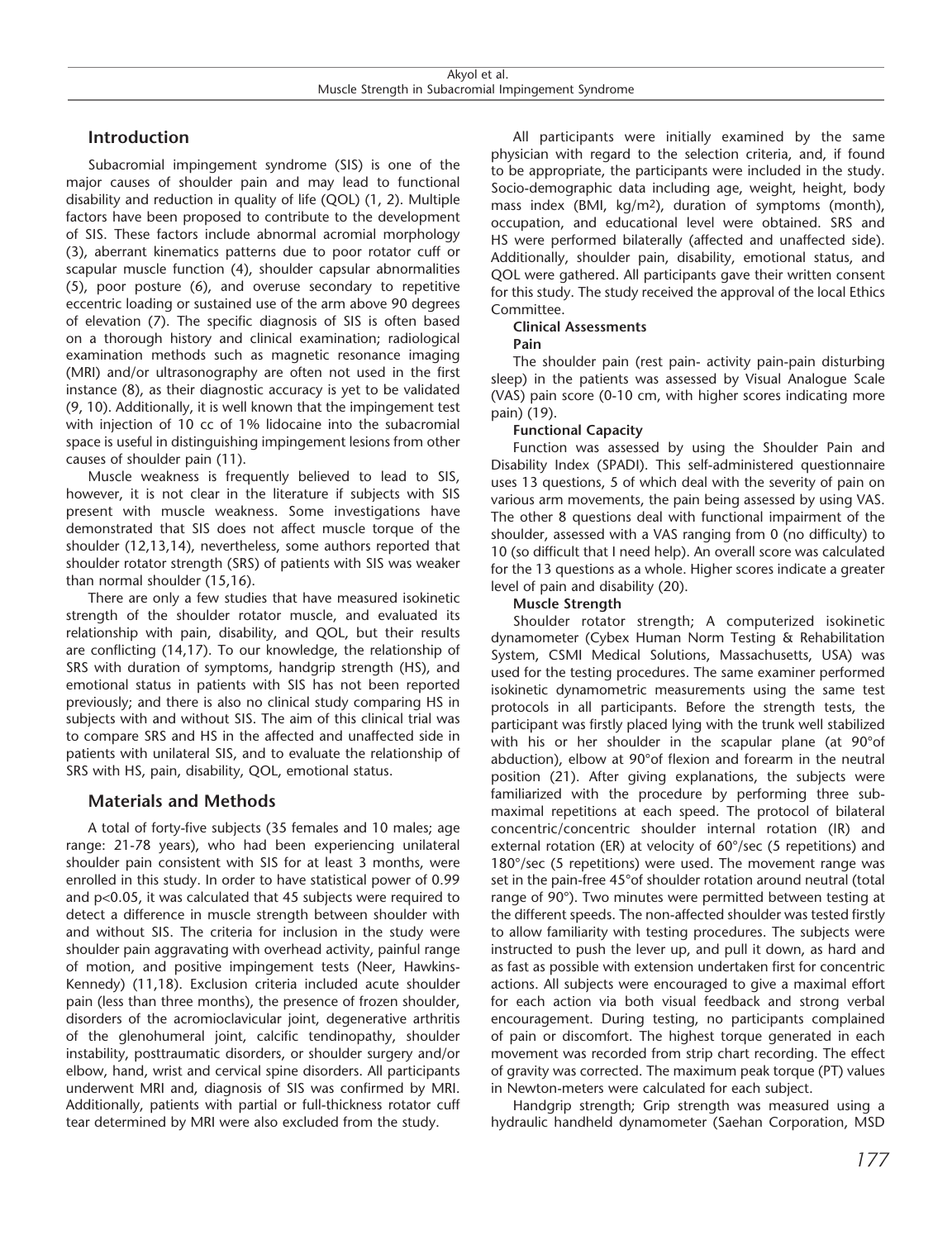# **Introduction**

Subacromial impingement syndrome (SIS) is one of the major causes of shoulder pain and may lead to functional disability and reduction in quality of life (QOL) (1, 2). Multiple factors have been proposed to contribute to the development of SIS. These factors include abnormal acromial morphology (3), aberrant kinematics patterns due to poor rotator cuff or scapular muscle function (4), shoulder capsular abnormalities (5), poor posture (6), and overuse secondary to repetitive eccentric loading or sustained use of the arm above 90 degrees of elevation (7). The specific diagnosis of SIS is often based on a thorough history and clinical examination; radiological examination methods such as magnetic resonance imaging (MRI) and/or ultrasonography are often not used in the first instance (8), as their diagnostic accuracy is yet to be validated (9, 10). Additionally, it is well known that the impingement test with injection of 10 cc of 1% lidocaine into the subacromial space is useful in distinguishing impingement lesions from other causes of shoulder pain (11).

Muscle weakness is frequently believed to lead to SIS, however, it is not clear in the literature if subjects with SIS present with muscle weakness. Some investigations have demonstrated that SIS does not affect muscle torque of the shoulder (12,13,14), nevertheless, some authors reported that shoulder rotator strength (SRS) of patients with SIS was weaker than normal shoulder (15,16).

There are only a few studies that have measured isokinetic strength of the shoulder rotator muscle, and evaluated its relationship with pain, disability, and QOL, but their results are conflicting (14,17). To our knowledge, the relationship of SRS with duration of symptoms, handgrip strength (HS), and emotional status in patients with SIS has not been reported previously; and there is also no clinical study comparing HS in subjects with and without SIS. The aim of this clinical trial was to compare SRS and HS in the affected and unaffected side in patients with unilateral SIS, and to evaluate the relationship of SRS with HS, pain, disability, QOL, emotional status.

# **Materials and Methods**

A total of forty-five subjects (35 females and 10 males; age range: 21-78 years), who had been experiencing unilateral shoulder pain consistent with SIS for at least 3 months, were enrolled in this study. In order to have statistical power of 0.99 and p<0.05, it was calculated that 45 subjects were required to detect a difference in muscle strength between shoulder with and without SIS. The criteria for inclusion in the study were shoulder pain aggravating with overhead activity, painful range of motion, and positive impingement tests (Neer, Hawkins-Kennedy) (11,18). Exclusion criteria included acute shoulder pain (less than three months), the presence of frozen shoulder, disorders of the acromioclavicular joint, degenerative arthritis of the glenohumeral joint, calcific tendinopathy, shoulder instability, posttraumatic disorders, or shoulder surgery and/or elbow, hand, wrist and cervical spine disorders. All participants underwent MRI and, diagnosis of SIS was confirmed by MRI. Additionally, patients with partial or full-thickness rotator cuff tear determined by MRI were also excluded from the study.

All participants were initially examined by the same physician with regard to the selection criteria, and, if found to be appropriate, the participants were included in the study. Socio-demographic data including age, weight, height, body mass index (BMI,  $\text{kg/m}^2$ ), duration of symptoms (month), occupation, and educational level were obtained. SRS and HS were performed bilaterally (affected and unaffected side). Additionally, shoulder pain, disability, emotional status, and QOL were gathered. All participants gave their written consent for this study. The study received the approval of the local Ethics Committee.

#### **Clinical Assessments**

#### **Pain**

The shoulder pain (rest pain- activity pain-pain disturbing sleep) in the patients was assessed by Visual Analogue Scale (VAS) pain score (0-10 cm, with higher scores indicating more pain) (19).

#### **Functional Capacity**

Function was assessed by using the Shoulder Pain and Disability Index (SPADI). This self-administered questionnaire uses 13 questions, 5 of which deal with the severity of pain on various arm movements, the pain being assessed by using VAS. The other 8 questions deal with functional impairment of the shoulder, assessed with a VAS ranging from 0 (no difficulty) to 10 (so difficult that I need help). An overall score was calculated for the 13 questions as a whole. Higher scores indicate a greater level of pain and disability (20).

#### **Muscle Strength**

Shoulder rotator strength; A computerized isokinetic dynamometer (Cybex Human Norm Testing & Rehabilitation System, CSMI Medical Solutions, Massachusetts, USA) was used for the testing procedures. The same examiner performed isokinetic dynamometric measurements using the same test protocols in all participants. Before the strength tests, the participant was firstly placed lying with the trunk well stabilized with his or her shoulder in the scapular plane (at 90°of abduction), elbow at 90°of flexion and forearm in the neutral position (21). After giving explanations, the subjects were familiarized with the procedure by performing three submaximal repetitions at each speed. The protocol of bilateral concentric/concentric shoulder internal rotation (IR) and external rotation (ER) at velocity of 60°/sec (5 repetitions) and 180°/sec (5 repetitions) were used. The movement range was set in the pain-free 45°of shoulder rotation around neutral (total range of 90°). Two minutes were permitted between testing at the different speeds. The non-affected shoulder was tested firstly to allow familiarity with testing procedures. The subjects were instructed to push the lever up, and pull it down, as hard and as fast as possible with extension undertaken first for concentric actions. All subjects were encouraged to give a maximal effort for each action via both visual feedback and strong verbal encouragement. During testing, no participants complained of pain or discomfort. The highest torque generated in each movement was recorded from strip chart recording. The effect of gravity was corrected. The maximum peak torque (PT) values in Newton-meters were calculated for each subject.

Handgrip strength; Grip strength was measured using a hydraulic handheld dynamometer (Saehan Corporation, MSD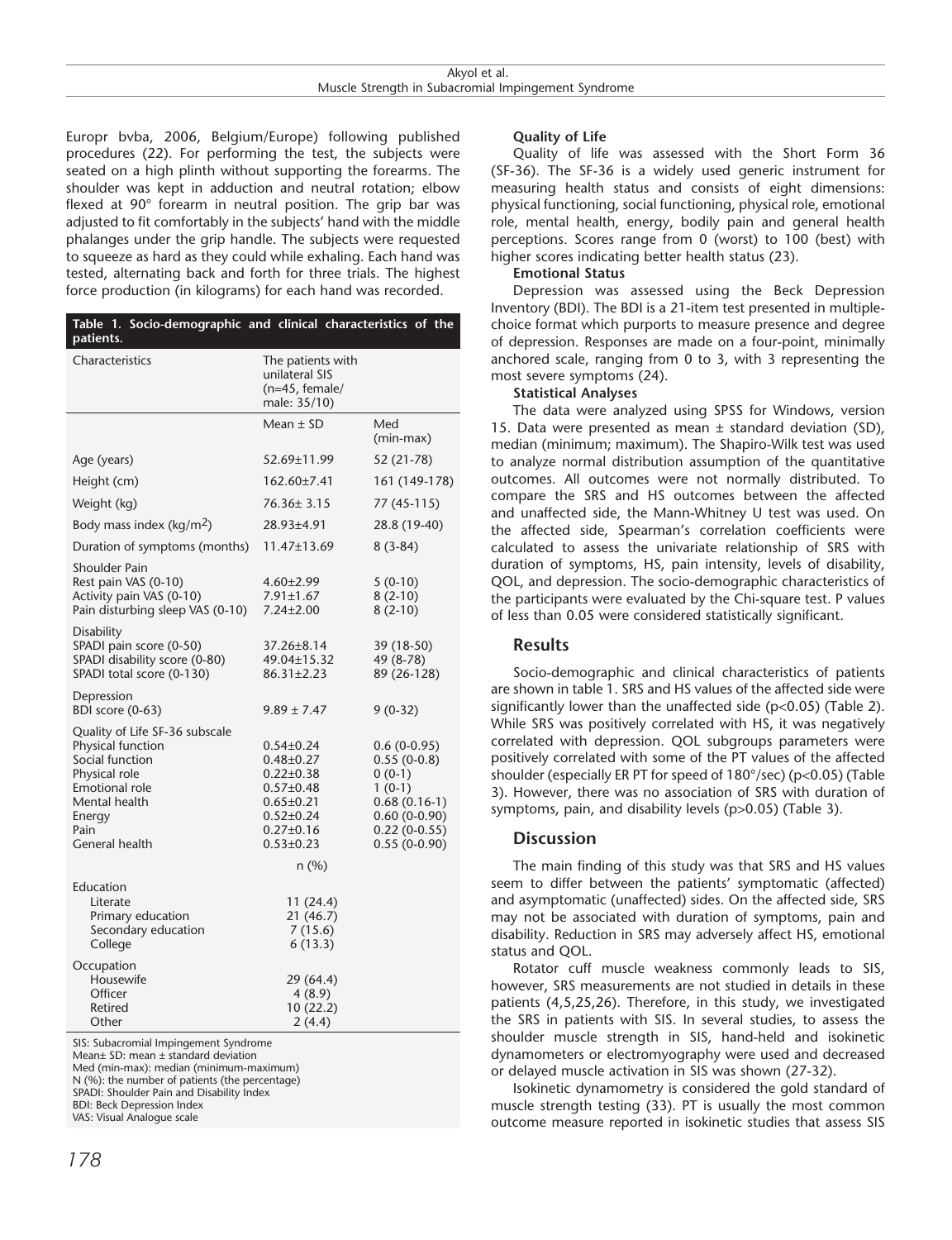Europr bvba, 2006, Belgium/Europe) following published procedures (22). For performing the test, the subjects were seated on a high plinth without supporting the forearms. The shoulder was kept in adduction and neutral rotation; elbow flexed at 90° forearm in neutral position. The grip bar was adjusted to fit comfortably in the subjects' hand with the middle phalanges under the grip handle. The subjects were requested to squeeze as hard as they could while exhaling. Each hand was tested, alternating back and forth for three trials. The highest force production (in kilograms) for each hand was recorded.

| Table 1. Socio-demographic and clinical characteristics of the<br>patients.                                                                                           |                                                                                                                                                         |                                                                                                                                |
|-----------------------------------------------------------------------------------------------------------------------------------------------------------------------|---------------------------------------------------------------------------------------------------------------------------------------------------------|--------------------------------------------------------------------------------------------------------------------------------|
| Characteristics                                                                                                                                                       | The patients with<br>unilateral SIS<br>$(n=45, female/$<br>male: 35/10)                                                                                 |                                                                                                                                |
|                                                                                                                                                                       | Mean $\pm$ SD                                                                                                                                           | Med<br>(min-max)                                                                                                               |
| Age (years)                                                                                                                                                           | 52.69±11.99                                                                                                                                             | 52 (21-78)                                                                                                                     |
| Height (cm)                                                                                                                                                           | 162.60±7.41                                                                                                                                             | 161 (149-178)                                                                                                                  |
| Weight (kg)                                                                                                                                                           | 76.36± 3.15                                                                                                                                             | 77 (45-115)                                                                                                                    |
| Body mass index ( $\text{kg/m}^2$ )                                                                                                                                   | 28.93±4.91                                                                                                                                              | 28.8 (19-40)                                                                                                                   |
| Duration of symptoms (months)                                                                                                                                         | 11.47±13.69                                                                                                                                             | $8(3-84)$                                                                                                                      |
| <b>Shoulder Pain</b><br>Rest pain VAS (0-10)<br>Activity pain VAS (0-10)<br>Pain disturbing sleep VAS (0-10)                                                          | $4.60 \pm 2.99$<br>$7.91 \pm 1.67$<br>7.24±2.00                                                                                                         | $5(0-10)$<br>$8(2-10)$<br>$8(2-10)$                                                                                            |
| Disability<br>SPADI pain score (0-50)<br>SPADI disability score (0-80)<br>SPADI total score (0-130)                                                                   | 37.26±8.14<br>49.04±15.32<br>86.31±2.23                                                                                                                 | 39 (18-50)<br>49 (8-78)<br>89 (26-128)                                                                                         |
| Depression<br>BDI score (0-63)                                                                                                                                        | $9.89 \pm 7.47$                                                                                                                                         | $9(0-32)$                                                                                                                      |
| Quality of Life SF-36 subscale<br>Physical function<br>Social function<br>Physical role<br><b>Emotional role</b><br>Mental health<br>Energy<br>Pain<br>General health | $0.54 \pm 0.24$<br>0.48±0.27<br>$0.22 \pm 0.38$<br>$0.57 \pm 0.48$<br>$0.65 \pm 0.21$<br>$0.52 \pm 0.24$<br>$0.27 \pm 0.16$<br>$0.53 \pm 0.23$<br>n (%) | $0.6(0-0.95)$<br>$0.55(0-0.8)$<br>$0(0-1)$<br>$1(0-1)$<br>$0.68(0.16-1)$<br>$0.60(0-0.90)$<br>$0.22(0-0.55)$<br>$0.55(0-0.90)$ |
| Education<br>Literate<br>Primary education<br>Secondary education<br>College                                                                                          | 11 (24.4)<br>21 (46.7)<br>7(15.6)<br>6(13.3)                                                                                                            |                                                                                                                                |
| Occupation<br>Housewife<br>Officer<br>Retired<br>Other                                                                                                                | 29 (64.4)<br>4(8.9)<br>10 (22.2)<br>2(4.4)                                                                                                              |                                                                                                                                |

SIS: Subacromial Impingement Syndrome

Mean± SD: mean ± standard deviation Med (min-max): median (minimum-maximum)

N (%): the number of patients (the percentage)

SPADI: Shoulder Pain and Disability Index

BDI: Beck Depression Index VAS: Visual Analogue scale

Quality of life was assessed with the Short Form 36 (SF-36). The SF-36 is a widely used generic instrument for measuring health status and consists of eight dimensions: physical functioning, social functioning, physical role, emotional role, mental health, energy, bodily pain and general health perceptions. Scores range from 0 (worst) to 100 (best) with higher scores indicating better health status (23).

#### **Emotional Status**

Depression was assessed using the Beck Depression Inventory (BDI). The BDI is a 21-item test presented in multiplechoice format which purports to measure presence and degree of depression. Responses are made on a four-point, minimally anchored scale, ranging from 0 to 3, with 3 representing the most severe symptoms (24).

#### **Statistical Analyses**

The data were analyzed using SPSS for Windows, version 15. Data were presented as mean ± standard deviation (SD), median (minimum; maximum). The Shapiro-Wilk test was used to analyze normal distribution assumption of the quantitative outcomes. All outcomes were not normally distributed. To compare the SRS and HS outcomes between the affected and unaffected side, the Mann-Whitney U test was used. On the affected side, Spearman's correlation coefficients were calculated to assess the univariate relationship of SRS with duration of symptoms, HS, pain intensity, levels of disability, QOL, and depression. The socio-demographic characteristics of the participants were evaluated by the Chi-square test. P values of less than 0.05 were considered statistically significant.

# **Results**

Socio-demographic and clinical characteristics of patients are shown in table 1. SRS and HS values of the affected side were significantly lower than the unaffected side (p<0.05) (Table 2). While SRS was positively correlated with HS, it was negatively correlated with depression. QOL subgroups parameters were positively correlated with some of the PT values of the affected shoulder (especially ER PT for speed of 180°/sec) (p<0.05) (Table 3). However, there was no association of SRS with duration of symptoms, pain, and disability levels (p>0.05) (Table 3).

# **Discussion**

The main finding of this study was that SRS and HS values seem to differ between the patients' symptomatic (affected) and asymptomatic (unaffected) sides. On the affected side, SRS may not be associated with duration of symptoms, pain and disability. Reduction in SRS may adversely affect HS, emotional status and QOL.

Rotator cuff muscle weakness commonly leads to SIS, however, SRS measurements are not studied in details in these patients (4,5,25,26). Therefore, in this study, we investigated the SRS in patients with SIS. In several studies, to assess the shoulder muscle strength in SIS, hand-held and isokinetic dynamometers or electromyography were used and decreased or delayed muscle activation in SIS was shown (27-32).

Isokinetic dynamometry is considered the gold standard of muscle strength testing (33). PT is usually the most common outcome measure reported in isokinetic studies that assess SIS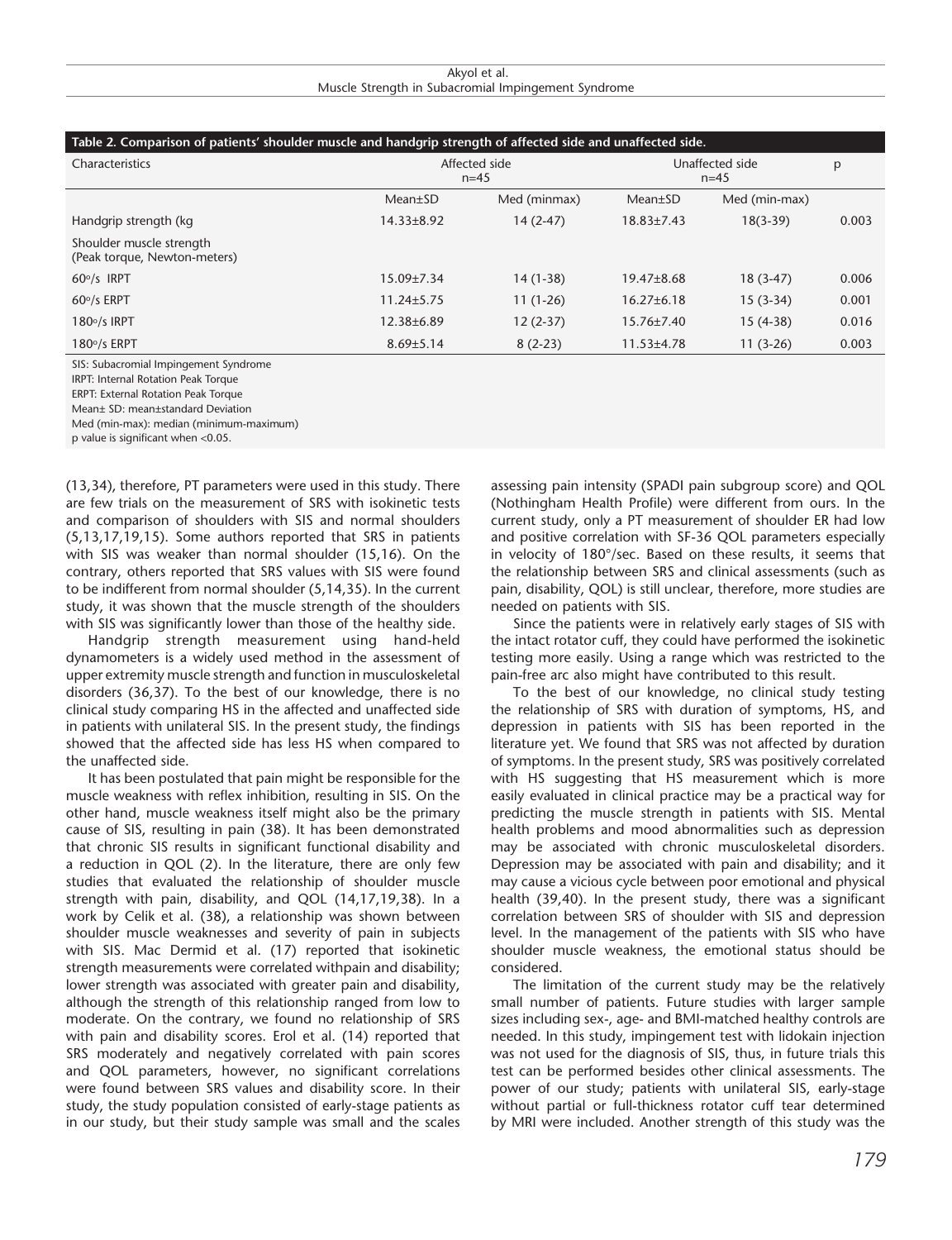| Akyol et al.                                        |  |  |  |
|-----------------------------------------------------|--|--|--|
| Muscle Strength in Subacromial Impingement Syndrome |  |  |  |

| Table 2. Comparison of patients' shoulder muscle and handgrip strength of affected side and unaffected side. |                         |              |                             |               |       |  |
|--------------------------------------------------------------------------------------------------------------|-------------------------|--------------|-----------------------------|---------------|-------|--|
| Characteristics                                                                                              | Affected side<br>$n=45$ |              | Unaffected side<br>$n = 45$ |               | р     |  |
|                                                                                                              | $Mean \pm SD$           | Med (minmax) | Mean±SD                     | Med (min-max) |       |  |
| Handgrip strength (kg                                                                                        | $14.33 \pm 8.92$        | $14(2-47)$   | $18.83 \pm 7.43$            | $18(3-39)$    | 0.003 |  |
| Shoulder muscle strength<br>(Peak torque, Newton-meters)                                                     |                         |              |                             |               |       |  |
| $60^\circ/s$ IRPT                                                                                            | $15.09{\pm}7.34$        | $14(1-38)$   | $19.47\pm8.68$              | $18(3-47)$    | 0.006 |  |
| $60\%$ ERPT                                                                                                  | $11.24 \pm 5.75$        | $11(1-26)$   | $16.27 \pm 6.18$            | $15(3-34)$    | 0.001 |  |
| $180°$ /s IRPT                                                                                               | $12.38 \pm 6.89$        | $12(2-37)$   | $15.76 \pm 7.40$            | $15(4-38)$    | 0.016 |  |
| $180°/s$ ERPT                                                                                                | $8.69{\pm}5.14$         | $8(2-23)$    | $11.53 \pm 4.78$            | $11(3-26)$    | 0.003 |  |

SIS: Subacromial Impingement Syndrome

IRPT: Internal Rotation Peak Torque

ERPT: External Rotation Peak Torque

Mean± SD: mean±standard Deviation

Med (min-max): median (minimum-maximum)

p value is significant when <0.05.

(13,34), therefore, PT parameters were used in this study. There are few trials on the measurement of SRS with isokinetic tests and comparison of shoulders with SIS and normal shoulders (5,13,17,19,15). Some authors reported that SRS in patients with SIS was weaker than normal shoulder (15,16). On the contrary, others reported that SRS values with SIS were found to be indifferent from normal shoulder (5,14,35). In the current study, it was shown that the muscle strength of the shoulders with SIS was significantly lower than those of the healthy side.

Handgrip strength measurement using hand-held dynamometers is a widely used method in the assessment of upper extremity muscle strength and function in musculoskeletal disorders (36,37). To the best of our knowledge, there is no clinical study comparing HS in the affected and unaffected side in patients with unilateral SIS. In the present study, the findings showed that the affected side has less HS when compared to the unaffected side.

It has been postulated that pain might be responsible for the muscle weakness with reflex inhibition, resulting in SIS. On the other hand, muscle weakness itself might also be the primary cause of SIS, resulting in pain (38). It has been demonstrated that chronic SIS results in significant functional disability and a reduction in QOL (2). In the literature, there are only few studies that evaluated the relationship of shoulder muscle strength with pain, disability, and QOL (14,17,19,38). In a work by Celik et al. (38), a relationship was shown between shoulder muscle weaknesses and severity of pain in subjects with SIS. Mac Dermid et al. (17) reported that isokinetic strength measurements were correlated withpain and disability; lower strength was associated with greater pain and disability, although the strength of this relationship ranged from low to moderate. On the contrary, we found no relationship of SRS with pain and disability scores. Erol et al. (14) reported that SRS moderately and negatively correlated with pain scores and QOL parameters, however, no significant correlations were found between SRS values and disability score. In their study, the study population consisted of early-stage patients as in our study, but their study sample was small and the scales

assessing pain intensity (SPADI pain subgroup score) and QOL (Nothingham Health Profile) were different from ours. In the current study, only a PT measurement of shoulder ER had low and positive correlation with SF-36 QOL parameters especially in velocity of 180°/sec. Based on these results, it seems that the relationship between SRS and clinical assessments (such as pain, disability, QOL) is still unclear, therefore, more studies are needed on patients with SIS.

Since the patients were in relatively early stages of SIS with the intact rotator cuff, they could have performed the isokinetic testing more easily. Using a range which was restricted to the pain-free arc also might have contributed to this result.

To the best of our knowledge, no clinical study testing the relationship of SRS with duration of symptoms, HS, and depression in patients with SIS has been reported in the literature yet. We found that SRS was not affected by duration of symptoms. In the present study, SRS was positively correlated with HS suggesting that HS measurement which is more easily evaluated in clinical practice may be a practical way for predicting the muscle strength in patients with SIS. Mental health problems and mood abnormalities such as depression may be associated with chronic musculoskeletal disorders. Depression may be associated with pain and disability; and it may cause a vicious cycle between poor emotional and physical health (39,40). In the present study, there was a significant correlation between SRS of shoulder with SIS and depression level. In the management of the patients with SIS who have shoulder muscle weakness, the emotional status should be considered.

The limitation of the current study may be the relatively small number of patients. Future studies with larger sample sizes including sex-, age- and BMI-matched healthy controls are needed. In this study, impingement test with lidokain injection was not used for the diagnosis of SIS, thus, in future trials this test can be performed besides other clinical assessments. The power of our study; patients with unilateral SIS, early-stage without partial or full-thickness rotator cuff tear determined by MRI were included. Another strength of this study was the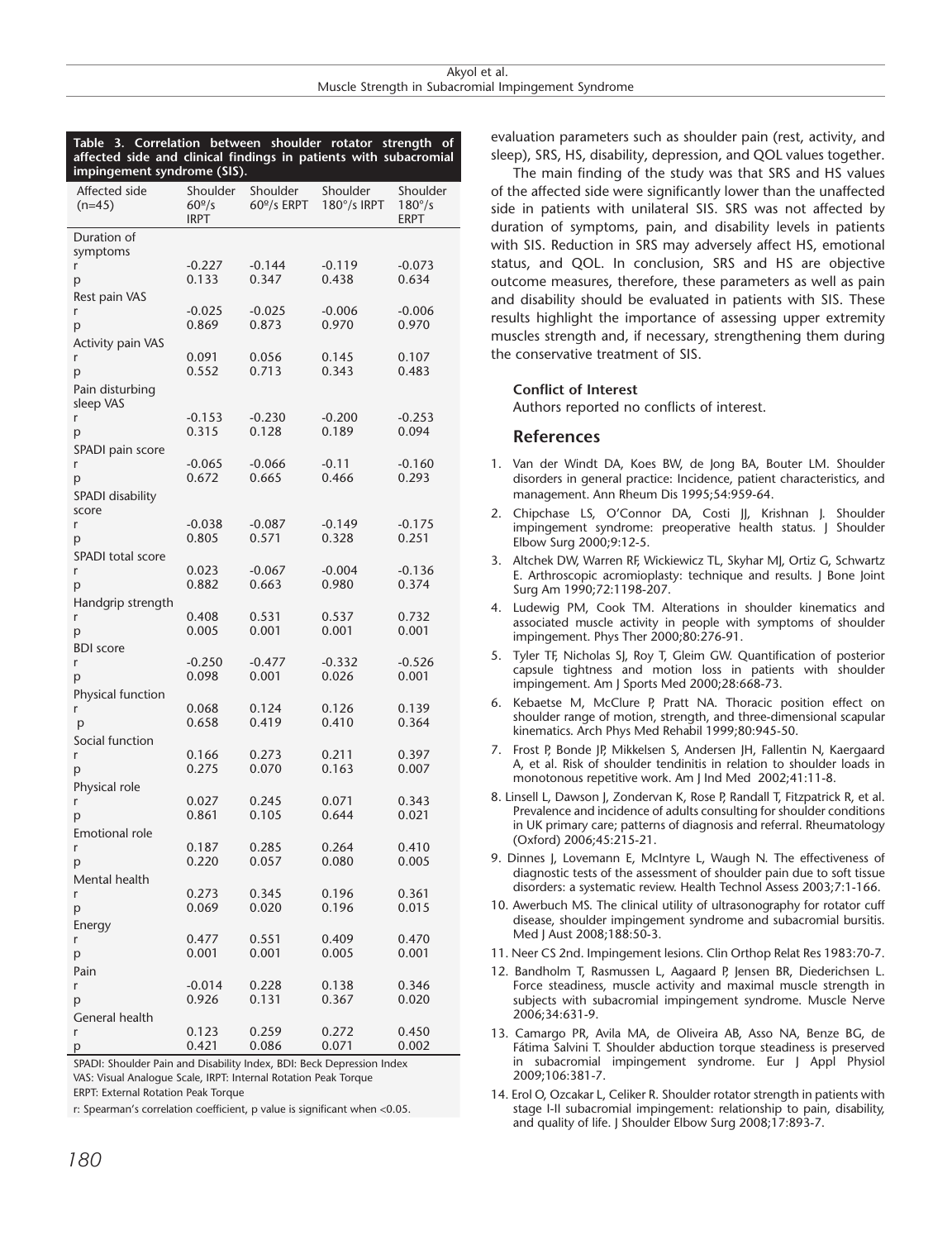| 3. Correlation between shoulder<br>Table<br>rotator<br>strength<br>οt<br>affected side and clinical findings in patients with subacromial<br>impingement syndrome (SIS). |                                        |                                 |                                |                                     |  |
|--------------------------------------------------------------------------------------------------------------------------------------------------------------------------|----------------------------------------|---------------------------------|--------------------------------|-------------------------------------|--|
| Affected side<br>$(n=45)$                                                                                                                                                | Shoulder<br>60 <sup>°</sup> /s<br>IRPT | Shoulder<br>$60^{\circ}/s$ ERPT | Shoulder<br>$180^\circ/s$ IRPT | Shoulder<br>$180^{\circ}/s$<br>ERPT |  |
| Duration of                                                                                                                                                              |                                        |                                 |                                |                                     |  |
| symptoms                                                                                                                                                                 |                                        |                                 |                                |                                     |  |
| r                                                                                                                                                                        | $-0.227$                               | $-0.144$                        | $-0.119$                       | $-0.073$                            |  |
| р                                                                                                                                                                        | 0.133                                  | 0.347                           | 0.438                          | 0.634                               |  |
| Rest pain VAS                                                                                                                                                            |                                        |                                 | $-0.006$                       |                                     |  |
| r                                                                                                                                                                        | $-0.025$<br>0.869                      | $-0.025$<br>0.873               | 0.970                          | $-0.006$<br>0.970                   |  |
| р<br><b>Activity pain VAS</b>                                                                                                                                            |                                        |                                 |                                |                                     |  |
| r                                                                                                                                                                        | 0.091                                  | 0.056                           | 0.145                          | 0.107                               |  |
| p                                                                                                                                                                        | 0.552                                  | 0.713                           | 0.343                          | 0.483                               |  |
| Pain disturbing                                                                                                                                                          |                                        |                                 |                                |                                     |  |
| sleep VAS                                                                                                                                                                |                                        |                                 |                                |                                     |  |
| r                                                                                                                                                                        | $-0.153$                               | $-0.230$                        | $-0.200$                       | $-0.253$                            |  |
| р                                                                                                                                                                        | 0.315                                  | 0.128                           | 0.189                          | 0.094                               |  |
| SPADI pain score                                                                                                                                                         |                                        |                                 |                                |                                     |  |
| r                                                                                                                                                                        | $-0.065$                               | $-0.066$                        | $-0.11$                        | $-0.160$                            |  |
| p                                                                                                                                                                        | 0.672                                  | 0.665                           | 0.466                          | 0.293                               |  |
| SPADI disability<br>score                                                                                                                                                |                                        |                                 |                                |                                     |  |
| r                                                                                                                                                                        | $-0.038$                               | $-0.087$                        | $-0.149$                       | $-0.175$                            |  |
| p                                                                                                                                                                        | 0.805                                  | 0.571                           | 0.328                          | 0.251                               |  |
| SPADI total score                                                                                                                                                        |                                        |                                 |                                |                                     |  |
| r                                                                                                                                                                        | 0.023                                  | $-0.067$                        | $-0.004$                       | $-0.136$                            |  |
| p                                                                                                                                                                        | 0.882                                  | 0.663                           | 0.980                          | 0.374                               |  |
| Handgrip strength                                                                                                                                                        |                                        |                                 |                                |                                     |  |
| r                                                                                                                                                                        | 0.408<br>0.005                         | 0.531<br>0.001                  | 0.537<br>0.001                 | 0.732<br>0.001                      |  |
| р                                                                                                                                                                        |                                        |                                 |                                |                                     |  |
| <b>BDI</b> score<br>r                                                                                                                                                    | $-0.250$                               | $-0.477$                        | $-0.332$                       | $-0.526$                            |  |
| р                                                                                                                                                                        | 0.098                                  | 0.001                           | 0.026                          | 0.001                               |  |
| Physical function                                                                                                                                                        |                                        |                                 |                                |                                     |  |
| r                                                                                                                                                                        | 0.068                                  | 0.124                           | 0.126                          | 0.139                               |  |
| p                                                                                                                                                                        | 0.658                                  | 0.419                           | 0.410                          | 0.364                               |  |
| Social function                                                                                                                                                          |                                        |                                 |                                |                                     |  |
| r                                                                                                                                                                        | 0.166                                  | 0.273                           | 0.211                          | 0.397                               |  |
| р                                                                                                                                                                        | 0.275                                  | 0.070                           | 0.163                          | 0.007                               |  |
| Physical role                                                                                                                                                            |                                        |                                 |                                |                                     |  |
| r                                                                                                                                                                        | 0.027                                  | 0.245                           | 0.071                          | 0.343                               |  |
| p                                                                                                                                                                        | 0.861                                  | 0.105                           | 0.644                          | 0.021                               |  |
| Emotional role                                                                                                                                                           |                                        |                                 |                                |                                     |  |
| r<br>р                                                                                                                                                                   | 0.187<br>0.220                         | 0.285<br>0.057                  | 0.264<br>0.080                 | 0.410<br>0.005                      |  |
| Mental health                                                                                                                                                            |                                        |                                 |                                |                                     |  |
| r                                                                                                                                                                        | 0.273                                  | 0.345                           | 0.196                          | 0.361                               |  |
| p                                                                                                                                                                        | 0.069                                  | 0.020                           | 0.196                          | 0.015                               |  |
| Energy                                                                                                                                                                   |                                        |                                 |                                |                                     |  |
| r                                                                                                                                                                        | 0.477                                  | 0.551                           | 0.409                          | 0.470                               |  |
| p                                                                                                                                                                        | 0.001                                  | 0.001                           | 0.005                          | 0.001                               |  |
| Pain                                                                                                                                                                     |                                        |                                 |                                |                                     |  |
| r                                                                                                                                                                        | $-0.014$                               | 0.228                           | 0.138                          | 0.346                               |  |
| р                                                                                                                                                                        | 0.926                                  | 0.131                           | 0.367                          | 0.020                               |  |
| <b>General health</b>                                                                                                                                                    |                                        |                                 |                                |                                     |  |
| r                                                                                                                                                                        | 0.123                                  | 0.259                           | 0.272                          | 0.450                               |  |
| p                                                                                                                                                                        | 0.421                                  | 0.086                           | 0.071                          | 0.002                               |  |

SPADI: Shoulder Pain and Disability Index, BDI: Beck Depression Index VAS: Visual Analogue Scale, IRPT: Internal Rotation Peak Torque

ERPT: External Rotation Peak Torque

r: Spearman's correlation coefficient, p value is significant when <0.05.

The main finding of the study was that SRS and HS values of the affected side were significantly lower than the unaffected side in patients with unilateral SIS. SRS was not affected by duration of symptoms, pain, and disability levels in patients with SIS. Reduction in SRS may adversely affect HS, emotional status, and QOL. In conclusion, SRS and HS are objective outcome measures, therefore, these parameters as well as pain and disability should be evaluated in patients with SIS. These results highlight the importance of assessing upper extremity muscles strength and, if necessary, strengthening them during the conservative treatment of SIS.

#### **Conflict of Interest**

Authors reported no conflicts of interest.

#### **References**

- 1. Van der Windt DA, Koes BW, de Jong BA, Bouter LM. Shoulder disorders in general practice: Incidence, patient characteristics, and management. Ann Rheum Dis 1995;54:959-64.
- 2. Chipchase LS, O'Connor DA, Costi JJ, Krishnan J. Shoulder impingement syndrome: preoperative health status. J Shoulder Elbow Surg 2000;9:12-5.
- 3. Altchek DW, Warren RF, Wickiewicz TL, Skyhar MJ, Ortiz G, Schwartz E. Arthroscopic acromioplasty: technique and results. J Bone Joint Surg Am 1990;72:1198-207.
- 4. Ludewig PM, Cook TM. Alterations in shoulder kinematics and associated muscle activity in people with symptoms of shoulder impingement. Phys Ther 2000;80:276-91.
- 5. Tyler TF, Nicholas SJ, Roy T, Gleim GW. Quantification of posterior capsule tightness and motion loss in patients with shoulder impingement. Am J Sports Med 2000;28:668-73.
- 6. Kebaetse M, McClure P, Pratt NA. Thoracic position effect on shoulder range of motion, strength, and three-dimensional scapular kinematics. Arch Phys Med Rehabil 1999;80:945-50.
- 7. Frost P, Bonde JP, Mikkelsen S, Andersen JH, Fallentin N, Kaergaard A, et al. Risk of shoulder tendinitis in relation to shoulder loads in monotonous repetitive work. Am J Ind Med 2002;41:11-8.
- 8. Linsell L, Dawson J, Zondervan K, Rose P, Randall T, Fitzpatrick R, et al. Prevalence and incidence of adults consulting for shoulder conditions in UK primary care; patterns of diagnosis and referral. Rheumatology (Oxford) 2006;45:215-21.
- 9. Dinnes J, Lovemann E, McIntyre L, Waugh N. The effectiveness of diagnostic tests of the assessment of shoulder pain due to soft tissue disorders: a systematic review. Health Technol Assess 2003;7:1-166.
- 10. Awerbuch MS. The clinical utility of ultrasonography for rotator cuff disease, shoulder impingement syndrome and subacromial bursitis. Med J Aust 2008;188:50-3.
- 11. Neer CS 2nd. Impingement lesions. Clin Orthop Relat Res 1983:70-7.
- 12. Bandholm T, Rasmussen L, Aagaard P, Jensen BR, Diederichsen L. Force steadiness, muscle activity and maximal muscle strength in subjects with subacromial impingement syndrome. Muscle Nerve 2006;34:631-9.
- 13. Camargo PR, Avila MA, de Oliveira AB, Asso NA, Benze BG, de Fátima Salvini T. Shoulder abduction torque steadiness is preserved in subacromial impingement syndrome. Eur J Appl Physiol 2009;106:381-7.
- 14. Erol O, Ozcakar L, Celiker R. Shoulder rotator strength in patients with stage I-II subacromial impingement: relationship to pain, disability, and quality of life. J Shoulder Elbow Surg 2008;17:893-7.